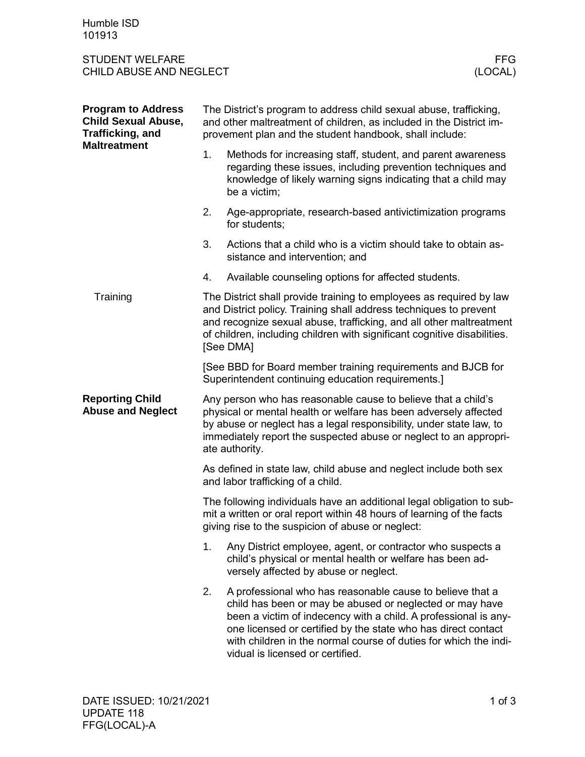Humble ISD 101913

## STUDENT WELFARE FFG<br>CHILD ABUSE AND NEGLECT (LOCAL) CHILD ABUSE AND NEGLECT

| <b>Program to Address</b><br><b>Child Sexual Abuse,</b><br><b>Trafficking, and</b><br><b>Maltreatment</b> | The District's program to address child sexual abuse, trafficking,<br>and other maltreatment of children, as included in the District im-<br>provement plan and the student handbook, shall include:                                                                                                     |                                                                                                                                                                                                                                                                                                                                                                   |  |
|-----------------------------------------------------------------------------------------------------------|----------------------------------------------------------------------------------------------------------------------------------------------------------------------------------------------------------------------------------------------------------------------------------------------------------|-------------------------------------------------------------------------------------------------------------------------------------------------------------------------------------------------------------------------------------------------------------------------------------------------------------------------------------------------------------------|--|
|                                                                                                           | 1.                                                                                                                                                                                                                                                                                                       | Methods for increasing staff, student, and parent awareness<br>regarding these issues, including prevention techniques and<br>knowledge of likely warning signs indicating that a child may<br>be a victim;                                                                                                                                                       |  |
|                                                                                                           | 2.                                                                                                                                                                                                                                                                                                       | Age-appropriate, research-based antivictimization programs<br>for students;                                                                                                                                                                                                                                                                                       |  |
|                                                                                                           | 3.                                                                                                                                                                                                                                                                                                       | Actions that a child who is a victim should take to obtain as-<br>sistance and intervention; and                                                                                                                                                                                                                                                                  |  |
|                                                                                                           | 4.                                                                                                                                                                                                                                                                                                       | Available counseling options for affected students.                                                                                                                                                                                                                                                                                                               |  |
| Training                                                                                                  | The District shall provide training to employees as required by law<br>and District policy. Training shall address techniques to prevent<br>and recognize sexual abuse, trafficking, and all other maltreatment<br>of children, including children with significant cognitive disabilities.<br>[See DMA] |                                                                                                                                                                                                                                                                                                                                                                   |  |
|                                                                                                           | [See BBD for Board member training requirements and BJCB for<br>Superintendent continuing education requirements.]                                                                                                                                                                                       |                                                                                                                                                                                                                                                                                                                                                                   |  |
| <b>Reporting Child</b><br><b>Abuse and Neglect</b>                                                        | Any person who has reasonable cause to believe that a child's<br>physical or mental health or welfare has been adversely affected<br>by abuse or neglect has a legal responsibility, under state law, to<br>immediately report the suspected abuse or neglect to an appropri-<br>ate authority.          |                                                                                                                                                                                                                                                                                                                                                                   |  |
|                                                                                                           | As defined in state law, child abuse and neglect include both sex<br>and labor trafficking of a child.                                                                                                                                                                                                   |                                                                                                                                                                                                                                                                                                                                                                   |  |
|                                                                                                           | The following individuals have an additional legal obligation to sub-<br>mit a written or oral report within 48 hours of learning of the facts<br>giving rise to the suspicion of abuse or neglect:                                                                                                      |                                                                                                                                                                                                                                                                                                                                                                   |  |
|                                                                                                           | 1.                                                                                                                                                                                                                                                                                                       | Any District employee, agent, or contractor who suspects a<br>child's physical or mental health or welfare has been ad-<br>versely affected by abuse or neglect.                                                                                                                                                                                                  |  |
|                                                                                                           | 2.                                                                                                                                                                                                                                                                                                       | A professional who has reasonable cause to believe that a<br>child has been or may be abused or neglected or may have<br>been a victim of indecency with a child. A professional is any-<br>one licensed or certified by the state who has direct contact<br>with children in the normal course of duties for which the indi-<br>vidual is licensed or certified. |  |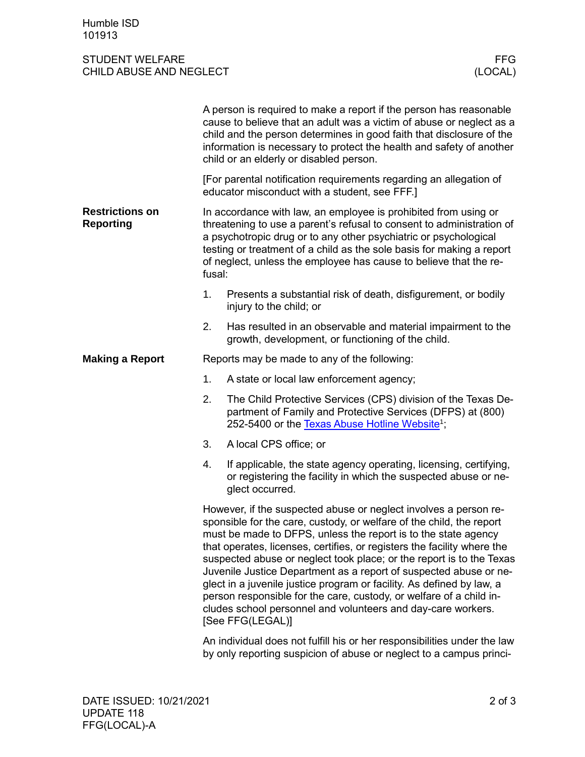## STUDENT WELFARE FFG<br>CHILD ABUSE AND NEGLECT (LOCAL) CHILD ABUSE AND NEGLECT

|                                            |                                                                                                                                                                                                                                                                                                                                                                                                                                                                                                                                                                                                                                                                        | A person is required to make a report if the person has reasonable<br>cause to believe that an adult was a victim of abuse or neglect as a<br>child and the person determines in good faith that disclosure of the<br>information is necessary to protect the health and safety of another<br>child or an elderly or disabled person. |  |
|--------------------------------------------|------------------------------------------------------------------------------------------------------------------------------------------------------------------------------------------------------------------------------------------------------------------------------------------------------------------------------------------------------------------------------------------------------------------------------------------------------------------------------------------------------------------------------------------------------------------------------------------------------------------------------------------------------------------------|---------------------------------------------------------------------------------------------------------------------------------------------------------------------------------------------------------------------------------------------------------------------------------------------------------------------------------------|--|
|                                            | [For parental notification requirements regarding an allegation of<br>educator misconduct with a student, see FFF.]                                                                                                                                                                                                                                                                                                                                                                                                                                                                                                                                                    |                                                                                                                                                                                                                                                                                                                                       |  |
| <b>Restrictions on</b><br><b>Reporting</b> | In accordance with law, an employee is prohibited from using or<br>threatening to use a parent's refusal to consent to administration of<br>a psychotropic drug or to any other psychiatric or psychological<br>testing or treatment of a child as the sole basis for making a report<br>of neglect, unless the employee has cause to believe that the re-<br>fusal:                                                                                                                                                                                                                                                                                                   |                                                                                                                                                                                                                                                                                                                                       |  |
|                                            | 1.                                                                                                                                                                                                                                                                                                                                                                                                                                                                                                                                                                                                                                                                     | Presents a substantial risk of death, disfigurement, or bodily<br>injury to the child; or                                                                                                                                                                                                                                             |  |
|                                            | 2.                                                                                                                                                                                                                                                                                                                                                                                                                                                                                                                                                                                                                                                                     | Has resulted in an observable and material impairment to the<br>growth, development, or functioning of the child.                                                                                                                                                                                                                     |  |
| <b>Making a Report</b>                     | Reports may be made to any of the following:                                                                                                                                                                                                                                                                                                                                                                                                                                                                                                                                                                                                                           |                                                                                                                                                                                                                                                                                                                                       |  |
|                                            | 1.                                                                                                                                                                                                                                                                                                                                                                                                                                                                                                                                                                                                                                                                     | A state or local law enforcement agency;                                                                                                                                                                                                                                                                                              |  |
|                                            | 2.                                                                                                                                                                                                                                                                                                                                                                                                                                                                                                                                                                                                                                                                     | The Child Protective Services (CPS) division of the Texas De-<br>partment of Family and Protective Services (DFPS) at (800)<br>252-5400 or the Texas Abuse Hotline Website <sup>1</sup> ;                                                                                                                                             |  |
|                                            | 3.                                                                                                                                                                                                                                                                                                                                                                                                                                                                                                                                                                                                                                                                     | A local CPS office; or                                                                                                                                                                                                                                                                                                                |  |
|                                            | 4.                                                                                                                                                                                                                                                                                                                                                                                                                                                                                                                                                                                                                                                                     | If applicable, the state agency operating, licensing, certifying,<br>or registering the facility in which the suspected abuse or ne-<br>glect occurred.                                                                                                                                                                               |  |
|                                            | However, if the suspected abuse or neglect involves a person re-<br>sponsible for the care, custody, or welfare of the child, the report<br>must be made to DFPS, unless the report is to the state agency<br>that operates, licenses, certifies, or registers the facility where the<br>suspected abuse or neglect took place; or the report is to the Texas<br>Juvenile Justice Department as a report of suspected abuse or ne-<br>glect in a juvenile justice program or facility. As defined by law, a<br>person responsible for the care, custody, or welfare of a child in-<br>cludes school personnel and volunteers and day-care workers.<br>[See FFG(LEGAL)] |                                                                                                                                                                                                                                                                                                                                       |  |
|                                            | An individual does not fulfill his or her responsibilities under the law<br>by only reporting suspicion of abuse or neglect to a campus princi-                                                                                                                                                                                                                                                                                                                                                                                                                                                                                                                        |                                                                                                                                                                                                                                                                                                                                       |  |